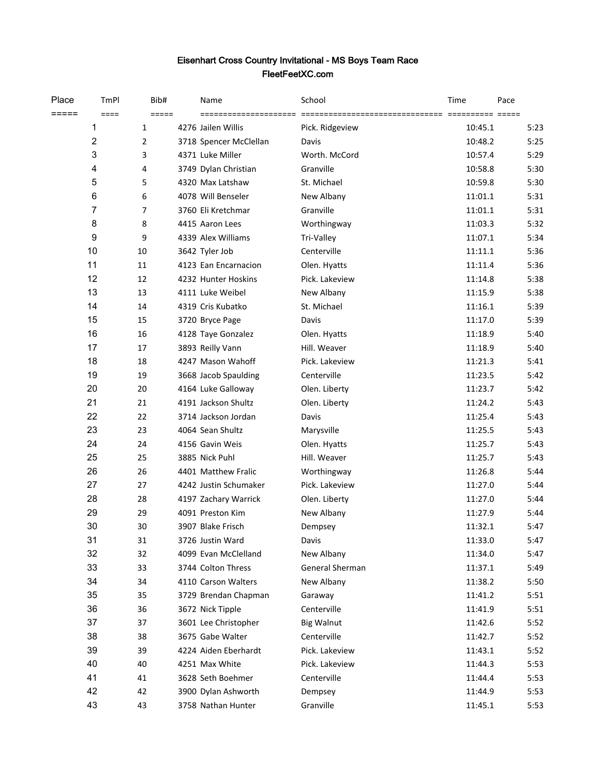## Eisenhart Cross Country Invitational - MS Boys Team Race FleetFeetXC.com

| Place | TmPl             | Bib#           | Name                   | School            | Time    | Pace |
|-------|------------------|----------------|------------------------|-------------------|---------|------|
| ===== | $====$           | $=====$        | =====================  |                   |         |      |
|       | 1                | $\mathbf{1}$   | 4276 Jailen Willis     | Pick. Ridgeview   | 10:45.1 | 5:23 |
|       | $\boldsymbol{2}$ | $\overline{2}$ | 3718 Spencer McClellan | Davis             | 10:48.2 | 5:25 |
|       | 3                | 3              | 4371 Luke Miller       | Worth. McCord     | 10:57.4 | 5:29 |
|       | 4                | 4              | 3749 Dylan Christian   | Granville         | 10:58.8 | 5:30 |
|       | 5                | 5              | 4320 Max Latshaw       | St. Michael       | 10:59.8 | 5:30 |
|       | 6                | 6              | 4078 Will Benseler     | New Albany        | 11:01.1 | 5:31 |
|       | 7                | $\overline{7}$ | 3760 Eli Kretchmar     | Granville         | 11:01.1 | 5:31 |
|       | 8                | 8              | 4415 Aaron Lees        | Worthingway       | 11:03.3 | 5:32 |
|       | 9                | 9              | 4339 Alex Williams     | Tri-Valley        | 11:07.1 | 5:34 |
|       | 10               | 10             | 3642 Tyler Job         | Centerville       | 11:11.1 | 5:36 |
|       | 11               | 11             | 4123 Ean Encarnacion   | Olen. Hyatts      | 11:11.4 | 5:36 |
|       | 12               | 12             | 4232 Hunter Hoskins    | Pick. Lakeview    | 11:14.8 | 5:38 |
|       | 13               | 13             | 4111 Luke Weibel       | New Albany        | 11:15.9 | 5:38 |
|       | 14               | 14             | 4319 Cris Kubatko      | St. Michael       | 11:16.1 | 5:39 |
|       | 15               | 15             | 3720 Bryce Page        | Davis             | 11:17.0 | 5:39 |
|       | 16               | 16             | 4128 Taye Gonzalez     | Olen. Hyatts      | 11:18.9 | 5:40 |
|       | 17               | 17             | 3893 Reilly Vann       | Hill. Weaver      | 11:18.9 | 5:40 |
|       | 18               | 18             | 4247 Mason Wahoff      | Pick. Lakeview    | 11:21.3 | 5:41 |
|       | 19               | 19             | 3668 Jacob Spaulding   | Centerville       | 11:23.5 | 5:42 |
|       | 20               | 20             | 4164 Luke Galloway     | Olen. Liberty     | 11:23.7 | 5:42 |
|       | 21               | 21             | 4191 Jackson Shultz    | Olen. Liberty     | 11:24.2 | 5:43 |
|       | 22               | 22             | 3714 Jackson Jordan    | Davis             | 11:25.4 | 5:43 |
|       | 23               | 23             | 4064 Sean Shultz       | Marysville        | 11:25.5 | 5:43 |
|       | 24               | 24             | 4156 Gavin Weis        | Olen. Hyatts      | 11:25.7 | 5:43 |
|       | 25               | 25             | 3885 Nick Puhl         | Hill. Weaver      | 11:25.7 | 5:43 |
|       | 26               | 26             | 4401 Matthew Fralic    | Worthingway       | 11:26.8 | 5:44 |
|       | 27               | 27             | 4242 Justin Schumaker  | Pick. Lakeview    | 11:27.0 | 5:44 |
|       | 28               | 28             | 4197 Zachary Warrick   | Olen. Liberty     | 11:27.0 | 5:44 |
|       | 29               | 29             | 4091 Preston Kim       | New Albany        | 11:27.9 | 5:44 |
|       | 30               | 30             | 3907 Blake Frisch      | Dempsey           | 11:32.1 | 5:47 |
|       | 31               | 31             | 3726 Justin Ward       | Davis             | 11:33.0 | 5:47 |
|       | 32               | 32             | 4099 Evan McClelland   | New Albany        | 11:34.0 | 5:47 |
|       | 33               | 33             | 3744 Colton Thress     | General Sherman   | 11:37.1 | 5:49 |
|       | 34               | 34             | 4110 Carson Walters    | New Albany        | 11:38.2 | 5:50 |
|       | 35               | 35             | 3729 Brendan Chapman   | Garaway           | 11:41.2 | 5:51 |
|       | 36               | 36             | 3672 Nick Tipple       | Centerville       | 11:41.9 | 5:51 |
|       | 37               | 37             | 3601 Lee Christopher   | <b>Big Walnut</b> | 11:42.6 | 5:52 |
|       | 38               | 38             | 3675 Gabe Walter       | Centerville       | 11:42.7 | 5:52 |
|       | 39               | 39             | 4224 Aiden Eberhardt   | Pick. Lakeview    | 11:43.1 | 5:52 |
|       | 40               | 40             | 4251 Max White         | Pick. Lakeview    | 11:44.3 | 5:53 |
|       | 41               | 41             | 3628 Seth Boehmer      | Centerville       | 11:44.4 | 5:53 |
|       | 42               | 42             | 3900 Dylan Ashworth    | Dempsey           | 11:44.9 | 5:53 |
|       | 43               | 43             | 3758 Nathan Hunter     | Granville         | 11:45.1 | 5:53 |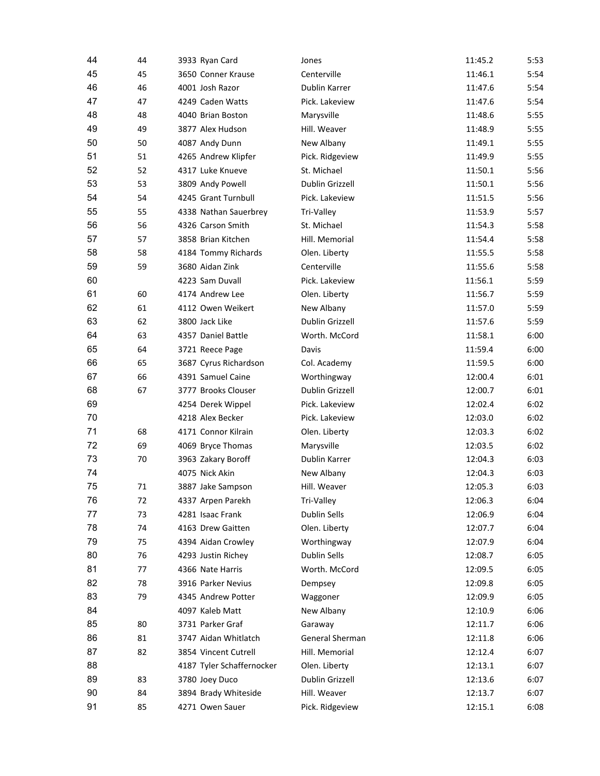| 44 | 44 | 3933 Ryan Card            | Jones                | 11:45.2 | 5:53 |
|----|----|---------------------------|----------------------|---------|------|
| 45 | 45 | 3650 Conner Krause        | Centerville          | 11:46.1 | 5:54 |
| 46 | 46 | 4001 Josh Razor           | <b>Dublin Karrer</b> | 11:47.6 | 5:54 |
| 47 | 47 | 4249 Caden Watts          | Pick. Lakeview       | 11:47.6 | 5:54 |
| 48 | 48 | 4040 Brian Boston         | Marysville           | 11:48.6 | 5:55 |
| 49 | 49 | 3877 Alex Hudson          | Hill. Weaver         | 11:48.9 | 5:55 |
| 50 | 50 | 4087 Andy Dunn            | New Albany           | 11:49.1 | 5:55 |
| 51 | 51 | 4265 Andrew Klipfer       | Pick. Ridgeview      | 11:49.9 | 5:55 |
| 52 | 52 | 4317 Luke Knueve          | St. Michael          | 11:50.1 | 5:56 |
| 53 | 53 | 3809 Andy Powell          | Dublin Grizzell      | 11:50.1 | 5:56 |
| 54 | 54 | 4245 Grant Turnbull       | Pick. Lakeview       | 11:51.5 | 5:56 |
| 55 | 55 | 4338 Nathan Sauerbrey     | Tri-Valley           | 11:53.9 | 5:57 |
| 56 | 56 | 4326 Carson Smith         | St. Michael          | 11:54.3 | 5:58 |
| 57 | 57 | 3858 Brian Kitchen        | Hill. Memorial       | 11:54.4 | 5:58 |
| 58 | 58 | 4184 Tommy Richards       | Olen. Liberty        | 11:55.5 | 5:58 |
| 59 | 59 | 3680 Aidan Zink           | Centerville          | 11:55.6 | 5:58 |
| 60 |    | 4223 Sam Duvall           | Pick. Lakeview       | 11:56.1 | 5:59 |
| 61 | 60 | 4174 Andrew Lee           | Olen. Liberty        | 11:56.7 | 5:59 |
| 62 | 61 | 4112 Owen Weikert         | New Albany           | 11:57.0 | 5:59 |
| 63 | 62 | 3800 Jack Like            | Dublin Grizzell      | 11:57.6 | 5:59 |
| 64 | 63 | 4357 Daniel Battle        | Worth. McCord        | 11:58.1 | 6:00 |
| 65 | 64 |                           |                      | 11:59.4 |      |
|    |    | 3721 Reece Page           | Davis                |         | 6:00 |
| 66 | 65 | 3687 Cyrus Richardson     | Col. Academy         | 11:59.5 | 6:00 |
| 67 | 66 | 4391 Samuel Caine         | Worthingway          | 12:00.4 | 6:01 |
| 68 | 67 | 3777 Brooks Clouser       | Dublin Grizzell      | 12:00.7 | 6:01 |
| 69 |    | 4254 Derek Wippel         | Pick. Lakeview       | 12:02.4 | 6:02 |
| 70 |    | 4218 Alex Becker          | Pick. Lakeview       | 12:03.0 | 6:02 |
| 71 | 68 | 4171 Connor Kilrain       | Olen. Liberty        | 12:03.3 | 6:02 |
| 72 | 69 | 4069 Bryce Thomas         | Marysville           | 12:03.5 | 6:02 |
| 73 | 70 | 3963 Zakary Boroff        | Dublin Karrer        | 12:04.3 | 6:03 |
| 74 |    | 4075 Nick Akin            | New Albany           | 12:04.3 | 6:03 |
| 75 | 71 | 3887 Jake Sampson         | Hill. Weaver         | 12:05.3 | 6:03 |
| 76 | 72 | 4337 Arpen Parekh         | Tri-Valley           | 12:06.3 | 6:04 |
| 77 | 73 | 4281 Isaac Frank          | Dublin Sells         | 12:06.9 | 6:04 |
| 78 | 74 | 4163 Drew Gaitten         | Olen. Liberty        | 12:07.7 | 6:04 |
| 79 | 75 | 4394 Aidan Crowley        | Worthingway          | 12:07.9 | 6:04 |
| 80 | 76 | 4293 Justin Richey        | Dublin Sells         | 12:08.7 | 6:05 |
| 81 | 77 | 4366 Nate Harris          | Worth. McCord        | 12:09.5 | 6:05 |
| 82 | 78 | 3916 Parker Nevius        | Dempsey              | 12:09.8 | 6:05 |
| 83 | 79 | 4345 Andrew Potter        | Waggoner             | 12:09.9 | 6:05 |
| 84 |    | 4097 Kaleb Matt           | New Albany           | 12:10.9 | 6:06 |
| 85 | 80 | 3731 Parker Graf          | Garaway              | 12:11.7 | 6:06 |
| 86 | 81 | 3747 Aidan Whitlatch      | General Sherman      | 12:11.8 | 6:06 |
| 87 | 82 | 3854 Vincent Cutrell      | Hill. Memorial       | 12:12.4 | 6:07 |
| 88 |    | 4187 Tyler Schaffernocker | Olen. Liberty        | 12:13.1 | 6:07 |
| 89 | 83 | 3780 Joey Duco            | Dublin Grizzell      | 12:13.6 | 6:07 |
| 90 | 84 | 3894 Brady Whiteside      | Hill. Weaver         | 12:13.7 | 6:07 |
| 91 | 85 | 4271 Owen Sauer           | Pick. Ridgeview      | 12:15.1 | 6:08 |
|    |    |                           |                      |         |      |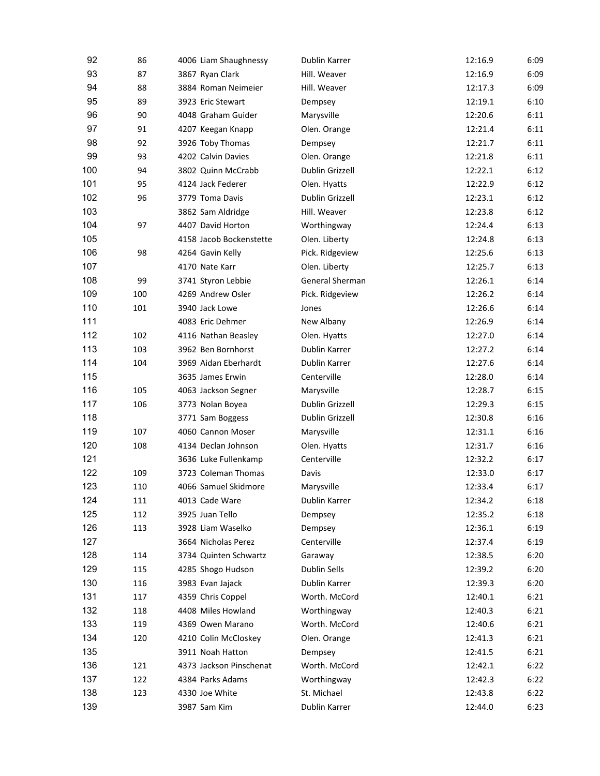| 92  | 86  | 4006 Liam Shaughnessy   | Dublin Karrer          | 12:16.9 | 6:09 |
|-----|-----|-------------------------|------------------------|---------|------|
| 93  | 87  | 3867 Ryan Clark         | Hill. Weaver           | 12:16.9 | 6:09 |
| 94  | 88  | 3884 Roman Neimeier     | Hill. Weaver           | 12:17.3 | 6:09 |
| 95  | 89  | 3923 Eric Stewart       | Dempsey                | 12:19.1 | 6:10 |
| 96  | 90  | 4048 Graham Guider      | Marysville             | 12:20.6 | 6:11 |
| 97  | 91  | 4207 Keegan Knapp       | Olen. Orange           | 12:21.4 | 6:11 |
| 98  | 92  | 3926 Toby Thomas        | Dempsey                | 12:21.7 | 6:11 |
| 99  | 93  | 4202 Calvin Davies      | Olen. Orange           | 12:21.8 | 6:11 |
| 100 | 94  | 3802 Quinn McCrabb      | Dublin Grizzell        | 12:22.1 | 6:12 |
| 101 | 95  | 4124 Jack Federer       | Olen. Hyatts           | 12:22.9 | 6:12 |
| 102 | 96  | 3779 Toma Davis         | Dublin Grizzell        | 12:23.1 | 6:12 |
| 103 |     | 3862 Sam Aldridge       | Hill. Weaver           | 12:23.8 | 6:12 |
| 104 | 97  | 4407 David Horton       | Worthingway            | 12:24.4 | 6:13 |
| 105 |     | 4158 Jacob Bockenstette | Olen. Liberty          | 12:24.8 | 6:13 |
| 106 | 98  | 4264 Gavin Kelly        | Pick. Ridgeview        | 12:25.6 | 6:13 |
| 107 |     | 4170 Nate Karr          | Olen. Liberty          | 12:25.7 | 6:13 |
| 108 | 99  | 3741 Styron Lebbie      | General Sherman        | 12:26.1 | 6:14 |
| 109 | 100 | 4269 Andrew Osler       | Pick. Ridgeview        | 12:26.2 | 6:14 |
| 110 | 101 | 3940 Jack Lowe          | Jones                  | 12:26.6 | 6:14 |
| 111 |     | 4083 Eric Dehmer        | New Albany             | 12:26.9 | 6:14 |
| 112 | 102 | 4116 Nathan Beasley     | Olen. Hyatts           | 12:27.0 | 6:14 |
| 113 | 103 | 3962 Ben Bornhorst      | Dublin Karrer          | 12:27.2 | 6:14 |
| 114 | 104 | 3969 Aidan Eberhardt    | Dublin Karrer          | 12:27.6 | 6:14 |
| 115 |     | 3635 James Erwin        | Centerville            | 12:28.0 | 6:14 |
| 116 | 105 | 4063 Jackson Segner     | Marysville             | 12:28.7 | 6:15 |
| 117 | 106 | 3773 Nolan Boyea        | <b>Dublin Grizzell</b> | 12:29.3 | 6:15 |
| 118 |     | 3771 Sam Boggess        | Dublin Grizzell        | 12:30.8 | 6:16 |
| 119 | 107 | 4060 Cannon Moser       | Marysville             | 12:31.1 | 6:16 |
| 120 | 108 | 4134 Declan Johnson     | Olen. Hyatts           | 12:31.7 | 6:16 |
| 121 |     | 3636 Luke Fullenkamp    | Centerville            | 12:32.2 | 6:17 |
| 122 | 109 | 3723 Coleman Thomas     | Davis                  | 12:33.0 | 6:17 |
| 123 | 110 | 4066 Samuel Skidmore    | Marysville             | 12:33.4 | 6:17 |
| 124 | 111 | 4013 Cade Ware          | Dublin Karrer          | 12:34.2 | 6:18 |
| 125 | 112 | 3925 Juan Tello         | Dempsey                | 12:35.2 | 6:18 |
| 126 | 113 | 3928 Liam Waselko       | Dempsey                | 12:36.1 | 6:19 |
| 127 |     | 3664 Nicholas Perez     | Centerville            | 12:37.4 | 6:19 |
| 128 | 114 | 3734 Quinten Schwartz   | Garaway                | 12:38.5 | 6:20 |
| 129 | 115 | 4285 Shogo Hudson       | <b>Dublin Sells</b>    | 12:39.2 | 6:20 |
| 130 | 116 | 3983 Evan Jajack        | Dublin Karrer          | 12:39.3 | 6:20 |
| 131 |     | 4359 Chris Coppel       |                        |         |      |
| 132 | 117 |                         | Worth. McCord          | 12:40.1 | 6:21 |
|     | 118 | 4408 Miles Howland      | Worthingway            | 12:40.3 | 6:21 |
| 133 | 119 | 4369 Owen Marano        | Worth. McCord          | 12:40.6 | 6:21 |
| 134 | 120 | 4210 Colin McCloskey    | Olen. Orange           | 12:41.3 | 6:21 |
| 135 |     | 3911 Noah Hatton        | Dempsey                | 12:41.5 | 6:21 |
| 136 | 121 | 4373 Jackson Pinschenat | Worth. McCord          | 12:42.1 | 6:22 |
| 137 | 122 | 4384 Parks Adams        | Worthingway            | 12:42.3 | 6:22 |
| 138 | 123 | 4330 Joe White          | St. Michael            | 12:43.8 | 6:22 |
| 139 |     | 3987 Sam Kim            | Dublin Karrer          | 12:44.0 | 6:23 |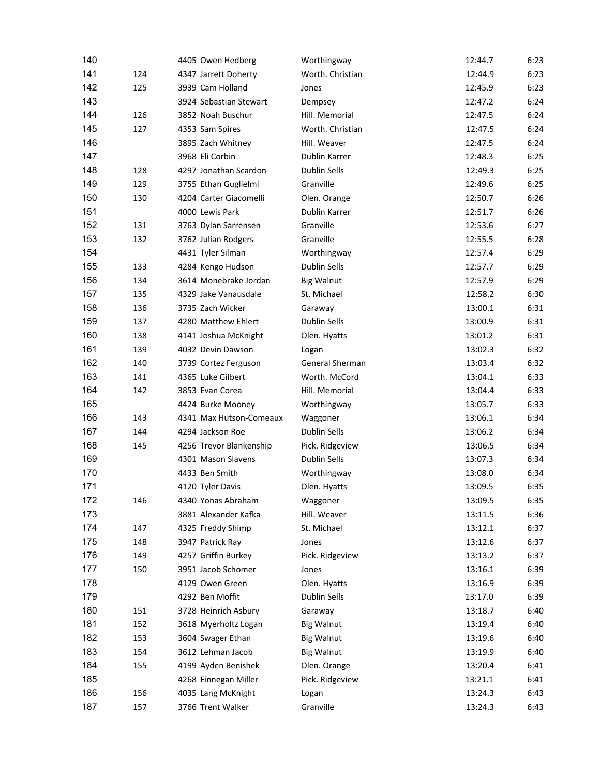| 140 |     | 4405 Owen Hedberg       | Worthingway         | 12:44.7 | 6:23 |
|-----|-----|-------------------------|---------------------|---------|------|
| 141 | 124 | 4347 Jarrett Doherty    | Worth. Christian    | 12:44.9 | 6:23 |
| 142 | 125 | 3939 Cam Holland        | Jones               | 12:45.9 | 6:23 |
| 143 |     | 3924 Sebastian Stewart  | Dempsey             | 12:47.2 | 6:24 |
| 144 | 126 | 3852 Noah Buschur       | Hill. Memorial      | 12:47.5 | 6:24 |
| 145 | 127 | 4353 Sam Spires         | Worth. Christian    | 12:47.5 | 6:24 |
| 146 |     | 3895 Zach Whitney       | Hill. Weaver        | 12:47.5 | 6:24 |
| 147 |     | 3968 Eli Corbin         | Dublin Karrer       | 12:48.3 | 6:25 |
| 148 | 128 | 4297 Jonathan Scardon   | <b>Dublin Sells</b> | 12:49.3 | 6:25 |
| 149 | 129 | 3755 Ethan Guglielmi    | Granville           | 12:49.6 | 6:25 |
| 150 | 130 | 4204 Carter Giacomelli  | Olen. Orange        | 12:50.7 | 6:26 |
| 151 |     | 4000 Lewis Park         | Dublin Karrer       | 12:51.7 | 6:26 |
| 152 | 131 | 3763 Dylan Sarrensen    | Granville           | 12:53.6 | 6:27 |
| 153 | 132 | 3762 Julian Rodgers     | Granville           | 12:55.5 | 6:28 |
| 154 |     | 4431 Tyler Silman       | Worthingway         | 12:57.4 | 6:29 |
| 155 | 133 | 4284 Kengo Hudson       | Dublin Sells        | 12:57.7 | 6:29 |
| 156 | 134 | 3614 Monebrake Jordan   | <b>Big Walnut</b>   | 12:57.9 | 6:29 |
| 157 | 135 | 4329 Jake Vanausdale    | St. Michael         | 12:58.2 | 6:30 |
| 158 | 136 | 3735 Zach Wicker        | Garaway             | 13:00.1 | 6:31 |
| 159 | 137 | 4280 Matthew Ehlert     | Dublin Sells        | 13:00.9 | 6:31 |
| 160 | 138 | 4141 Joshua McKnight    | Olen. Hyatts        | 13:01.2 | 6:31 |
| 161 | 139 | 4032 Devin Dawson       | Logan               | 13:02.3 | 6:32 |
| 162 | 140 | 3739 Cortez Ferguson    | General Sherman     | 13:03.4 | 6:32 |
| 163 | 141 | 4365 Luke Gilbert       | Worth. McCord       | 13:04.1 | 6:33 |
| 164 | 142 | 3853 Evan Corea         | Hill. Memorial      | 13:04.4 | 6:33 |
| 165 |     | 4424 Burke Mooney       | Worthingway         | 13:05.7 | 6:33 |
| 166 | 143 | 4341 Max Hutson-Comeaux | Waggoner            | 13:06.1 | 6:34 |
| 167 | 144 | 4294 Jackson Roe        | Dublin Sells        | 13:06.2 | 6:34 |
| 168 | 145 | 4256 Trevor Blankenship | Pick. Ridgeview     | 13:06.5 | 6:34 |
| 169 |     | 4301 Mason Slavens      | <b>Dublin Sells</b> | 13:07.3 | 6:34 |
| 170 |     | 4433 Ben Smith          | Worthingway         | 13:08.0 | 6:34 |
| 171 |     | 4120 Tyler Davis        | Olen. Hyatts        | 13:09.5 | 6:35 |
| 172 | 146 | 4340 Yonas Abraham      | Waggoner            | 13:09.5 | 6:35 |
| 173 |     | 3881 Alexander Kafka    | Hill. Weaver        | 13:11.5 | 6:36 |
| 174 | 147 | 4325 Freddy Shimp       | St. Michael         | 13:12.1 | 6:37 |
| 175 | 148 | 3947 Patrick Ray        | Jones               | 13:12.6 | 6:37 |
| 176 | 149 | 4257 Griffin Burkey     | Pick. Ridgeview     | 13:13.2 | 6:37 |
| 177 | 150 | 3951 Jacob Schomer      | Jones               | 13:16.1 | 6:39 |
| 178 |     | 4129 Owen Green         | Olen. Hyatts        | 13:16.9 | 6:39 |
| 179 |     | 4292 Ben Moffit         | <b>Dublin Sells</b> | 13:17.0 | 6:39 |
| 180 | 151 | 3728 Heinrich Asbury    | Garaway             | 13:18.7 | 6:40 |
| 181 | 152 | 3618 Myerholtz Logan    | <b>Big Walnut</b>   | 13:19.4 | 6:40 |
| 182 | 153 | 3604 Swager Ethan       | <b>Big Walnut</b>   | 13:19.6 | 6:40 |
| 183 | 154 | 3612 Lehman Jacob       | <b>Big Walnut</b>   | 13:19.9 | 6:40 |
| 184 | 155 | 4199 Ayden Benishek     | Olen. Orange        | 13:20.4 | 6:41 |
| 185 |     | 4268 Finnegan Miller    | Pick. Ridgeview     | 13:21.1 | 6:41 |
| 186 | 156 | 4035 Lang McKnight      | Logan               | 13:24.3 | 6:43 |
| 187 | 157 | 3766 Trent Walker       | Granville           | 13:24.3 | 6:43 |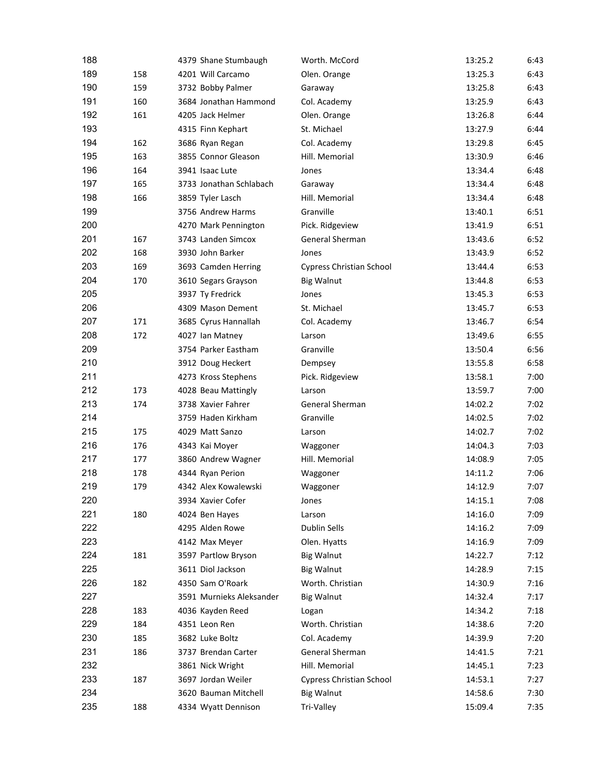| 188        |     | 4379 Shane Stumbaugh     | Worth. McCord                   | 13:25.2 | 6:43 |
|------------|-----|--------------------------|---------------------------------|---------|------|
| 189        | 158 | 4201 Will Carcamo        | Olen. Orange                    | 13:25.3 | 6:43 |
| 190        | 159 | 3732 Bobby Palmer        | Garaway                         | 13:25.8 | 6:43 |
| 191        | 160 | 3684 Jonathan Hammond    | Col. Academy                    | 13:25.9 | 6:43 |
| 192        | 161 | 4205 Jack Helmer         | Olen. Orange                    | 13:26.8 | 6:44 |
| 193        |     | 4315 Finn Kephart        | St. Michael                     | 13:27.9 | 6:44 |
| 194        | 162 | 3686 Ryan Regan          | Col. Academy                    | 13:29.8 | 6:45 |
| 195        | 163 | 3855 Connor Gleason      | Hill. Memorial                  | 13:30.9 | 6:46 |
| 196        | 164 | 3941 Isaac Lute          | Jones                           | 13:34.4 | 6:48 |
| 197        | 165 | 3733 Jonathan Schlabach  | Garaway                         | 13:34.4 | 6:48 |
| 198        | 166 | 3859 Tyler Lasch         | Hill. Memorial                  | 13:34.4 | 6:48 |
| 199        |     | 3756 Andrew Harms        | Granville                       | 13:40.1 | 6:51 |
| 200        |     | 4270 Mark Pennington     | Pick. Ridgeview                 | 13:41.9 | 6:51 |
| 201        | 167 | 3743 Landen Simcox       | General Sherman                 | 13:43.6 | 6:52 |
| 202        | 168 | 3930 John Barker         | Jones                           | 13:43.9 | 6:52 |
| 203        | 169 | 3693 Camden Herring      | <b>Cypress Christian School</b> | 13:44.4 | 6:53 |
| 204        | 170 | 3610 Segars Grayson      | <b>Big Walnut</b>               | 13:44.8 | 6:53 |
| 205        |     | 3937 Ty Fredrick         | Jones                           | 13:45.3 | 6:53 |
| 206        |     | 4309 Mason Dement        | St. Michael                     | 13:45.7 | 6:53 |
| 207        | 171 | 3685 Cyrus Hannallah     | Col. Academy                    | 13:46.7 | 6:54 |
| 208        | 172 | 4027 Ian Matney          | Larson                          | 13:49.6 | 6:55 |
| 209        |     | 3754 Parker Eastham      | Granville                       | 13:50.4 | 6:56 |
| 210        |     | 3912 Doug Heckert        | Dempsey                         | 13:55.8 | 6:58 |
| 211        |     | 4273 Kross Stephens      | Pick. Ridgeview                 | 13:58.1 | 7:00 |
| 212        | 173 | 4028 Beau Mattingly      | Larson                          | 13:59.7 | 7:00 |
| 213        | 174 | 3738 Xavier Fahrer       | General Sherman                 | 14:02.2 | 7:02 |
| 214        |     | 3759 Haden Kirkham       | Granville                       | 14:02.5 | 7:02 |
| 215        | 175 | 4029 Matt Sanzo          | Larson                          | 14:02.7 | 7:02 |
| 216        | 176 | 4343 Kai Moyer           | Waggoner                        | 14:04.3 | 7:03 |
| 217        | 177 | 3860 Andrew Wagner       | Hill. Memorial                  | 14:08.9 | 7:05 |
| 218        | 178 | 4344 Ryan Perion         |                                 | 14:11.2 | 7:06 |
| 219        | 179 | 4342 Alex Kowalewski     | Waggoner                        |         | 7:07 |
|            |     |                          | Waggoner                        | 14:12.9 |      |
| 220<br>221 |     | 3934 Xavier Cofer        | Jones                           | 14:15.1 | 7:08 |
|            | 180 | 4024 Ben Hayes           | Larson                          | 14:16.0 | 7:09 |
| 222        |     | 4295 Alden Rowe          | Dublin Sells                    | 14:16.2 | 7:09 |
| 223        |     | 4142 Max Meyer           | Olen. Hyatts                    | 14:16.9 | 7:09 |
| 224        | 181 | 3597 Partlow Bryson      | <b>Big Walnut</b>               | 14:22.7 | 7:12 |
| 225        |     | 3611 Diol Jackson        | <b>Big Walnut</b>               | 14:28.9 | 7:15 |
| 226        | 182 | 4350 Sam O'Roark         | Worth. Christian                | 14:30.9 | 7:16 |
| 227        |     | 3591 Murnieks Aleksander | <b>Big Walnut</b>               | 14:32.4 | 7:17 |
| 228        | 183 | 4036 Kayden Reed         | Logan                           | 14:34.2 | 7:18 |
| 229        | 184 | 4351 Leon Ren            | Worth. Christian                | 14:38.6 | 7:20 |
| 230        | 185 | 3682 Luke Boltz          | Col. Academy                    | 14:39.9 | 7:20 |
| 231        | 186 | 3737 Brendan Carter      | General Sherman                 | 14:41.5 | 7:21 |
| 232        |     | 3861 Nick Wright         | Hill. Memorial                  | 14:45.1 | 7:23 |
| 233        | 187 | 3697 Jordan Weiler       | <b>Cypress Christian School</b> | 14:53.1 | 7:27 |
| 234        |     | 3620 Bauman Mitchell     | <b>Big Walnut</b>               | 14:58.6 | 7:30 |
| 235        | 188 | 4334 Wyatt Dennison      | Tri-Valley                      | 15:09.4 | 7:35 |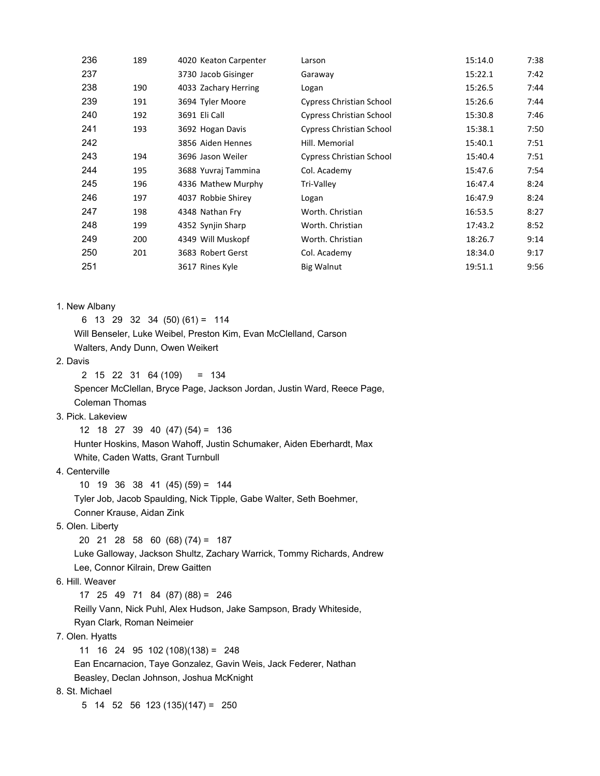| 236 | 189 | 4020 Keaton Carpenter | Larson                          | 15:14.0 | 7:38 |
|-----|-----|-----------------------|---------------------------------|---------|------|
| 237 |     | 3730 Jacob Gisinger   | Garaway                         | 15:22.1 | 7:42 |
| 238 | 190 | 4033 Zachary Herring  | Logan                           | 15:26.5 | 7:44 |
| 239 | 191 | 3694 Tyler Moore      | Cypress Christian School        | 15:26.6 | 7:44 |
| 240 | 192 | 3691 Eli Call         | <b>Cypress Christian School</b> | 15:30.8 | 7:46 |
| 241 | 193 | 3692 Hogan Davis      | <b>Cypress Christian School</b> | 15:38.1 | 7:50 |
| 242 |     | 3856 Aiden Hennes     | Hill. Memorial                  | 15:40.1 | 7:51 |
| 243 | 194 | 3696 Jason Weiler     | <b>Cypress Christian School</b> | 15:40.4 | 7:51 |
| 244 | 195 | 3688 Yuvraj Tammina   | Col. Academy                    | 15:47.6 | 7:54 |
| 245 | 196 | 4336 Mathew Murphy    | Tri-Valley                      | 16:47.4 | 8:24 |
| 246 | 197 | 4037 Robbie Shirey    | Logan                           | 16:47.9 | 8:24 |
| 247 | 198 | 4348 Nathan Fry       | Worth. Christian                | 16:53.5 | 8:27 |
| 248 | 199 | 4352 Synjin Sharp     | Worth. Christian                | 17:43.2 | 8:52 |
| 249 | 200 | 4349 Will Muskopf     | Worth. Christian                | 18:26.7 | 9:14 |
| 250 | 201 | 3683 Robert Gerst     | Col. Academy                    | 18:34.0 | 9:17 |
| 251 |     | 3617 Rines Kyle       | <b>Big Walnut</b>               | 19:51.1 | 9:56 |
|     |     |                       |                                 |         |      |

1. New Albany

 6 13 29 32 34 (50) (61) = 114 Will Benseler, Luke Weibel, Preston Kim, Evan McClelland, Carson Walters, Andy Dunn, Owen Weikert

2. Davis

2 15 22 31 64 (109) = 134

 Spencer McClellan, Bryce Page, Jackson Jordan, Justin Ward, Reece Page, Coleman Thomas

3. Pick. Lakeview

 12 18 27 39 40 (47) (54) = 136 Hunter Hoskins, Mason Wahoff, Justin Schumaker, Aiden Eberhardt, Max White, Caden Watts, Grant Turnbull

4. Centerville

10 19 36 38 41 (45) (59) = 144

Tyler Job, Jacob Spaulding, Nick Tipple, Gabe Walter, Seth Boehmer,

Conner Krause, Aidan Zink

5. Olen. Liberty

20 21 28 58 60 (68) (74) = 187

 Luke Galloway, Jackson Shultz, Zachary Warrick, Tommy Richards, Andrew Lee, Connor Kilrain, Drew Gaitten

6. Hill. Weaver

17 25 49 71 84 (87) (88) = 246

Reilly Vann, Nick Puhl, Alex Hudson, Jake Sampson, Brady Whiteside,

Ryan Clark, Roman Neimeier

7. Olen. Hyatts

11 16 24 95 102 (108)(138) = 248

Ean Encarnacion, Taye Gonzalez, Gavin Weis, Jack Federer, Nathan

Beasley, Declan Johnson, Joshua McKnight

8. St. Michael

5 14 52 56 123 (135)(147) = 250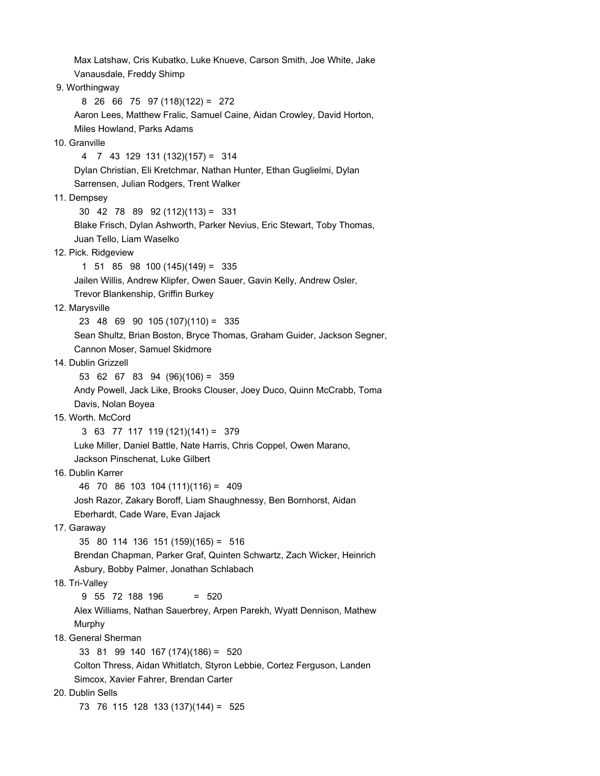Max Latshaw, Cris Kubatko, Luke Knueve, Carson Smith, Joe White, Jake Vanausdale, Freddy Shimp 9. Worthingway 8 26 66 75 97 (118)(122) = 272 Aaron Lees, Matthew Fralic, Samuel Caine, Aidan Crowley, David Horton, Miles Howland, Parks Adams 10. Granville 4 7 43 129 131 (132)(157) = 314 Dylan Christian, Eli Kretchmar, Nathan Hunter, Ethan Guglielmi, Dylan Sarrensen, Julian Rodgers, Trent Walker 11. Dempsey 30 42 78 89 92 (112)(113) = 331 Blake Frisch, Dylan Ashworth, Parker Nevius, Eric Stewart, Toby Thomas, Juan Tello, Liam Waselko 12. Pick. Ridgeview 1 51 85 98 100 (145)(149) = 335 Jailen Willis, Andrew Klipfer, Owen Sauer, Gavin Kelly, Andrew Osler, Trevor Blankenship, Griffin Burkey 12. Marysville 23 48 69 90 105 (107)(110) = 335 Sean Shultz, Brian Boston, Bryce Thomas, Graham Guider, Jackson Segner, Cannon Moser, Samuel Skidmore 14. Dublin Grizzell 53 62 67 83 94 (96)(106) = 359 Andy Powell, Jack Like, Brooks Clouser, Joey Duco, Quinn McCrabb, Toma Davis, Nolan Boyea 15. Worth. McCord 3 63 77 117 119 (121)(141) = 379 Luke Miller, Daniel Battle, Nate Harris, Chris Coppel, Owen Marano, Jackson Pinschenat, Luke Gilbert 16. Dublin Karrer 46 70 86 103 104 (111)(116) = 409 Josh Razor, Zakary Boroff, Liam Shaughnessy, Ben Bornhorst, Aidan Eberhardt, Cade Ware, Evan Jajack 17. Garaway 35 80 114 136 151 (159)(165) = 516 Brendan Chapman, Parker Graf, Quinten Schwartz, Zach Wicker, Heinrich Asbury, Bobby Palmer, Jonathan Schlabach 18. Tri-Valley 9 55 72 188 196 = 520 Alex Williams, Nathan Sauerbrey, Arpen Parekh, Wyatt Dennison, Mathew Murphy 18. General Sherman 33 81 99 140 167 (174)(186) = 520 Colton Thress, Aidan Whitlatch, Styron Lebbie, Cortez Ferguson, Landen Simcox, Xavier Fahrer, Brendan Carter 20. Dublin Sells 73 76 115 128 133 (137)(144) = 525